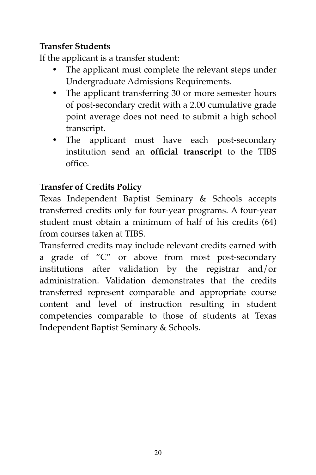## **Transfer Students**

If the applicant is a transfer student:

- The applicant must complete the relevant steps under Undergraduate Admissions Requirements.
- The applicant transferring 30 or more semester hours of post-secondary credit with a 2.00 cumulative grade point average does not need to submit a high school transcript.
- The applicant must have each post-secondary institution send an **official transcript** to the TIBS office.

## **Transfer of Credits Policy**

Texas Independent Baptist Seminary & Schools accepts transferred credits only for four-year programs. A four-year student must obtain a minimum of half of his credits (64) from courses taken at TIBS.

Transferred credits may include relevant credits earned with a grade of "C" or above from most post-secondary institutions after validation by the registrar and/or administration. Validation demonstrates that the credits transferred represent comparable and appropriate course content and level of instruction resulting in student competencies comparable to those of students at Texas Independent Baptist Seminary & Schools.